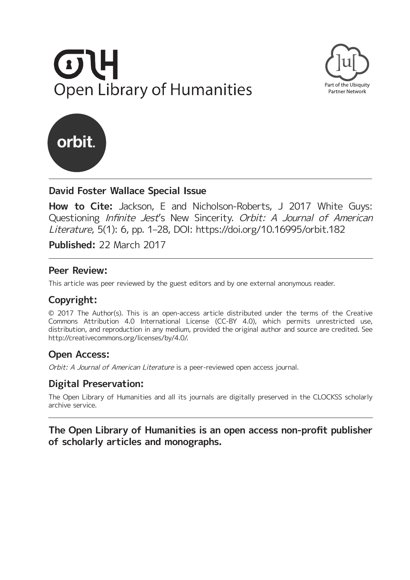





# **David Foster Wallace Special Issue**

**How to Cite:** Jackson, E and Nicholson-Roberts, J 2017 White Guys: Questioning Infinite Jest's New Sincerity. Orbit: A Journal of American Literature, 5(1): 6, pp. 1–28, DOI:<https://doi.org/10.16995/orbit.182>

**Published:** 22 March 2017

## **Peer Review:**

This article was peer reviewed by the guest editors and by one external anonymous reader.

# **Copyright:**

© 2017 The Author(s). This is an open-access article distributed under the terms of the Creative Commons Attribution 4.0 International License (CC-BY 4.0), which permits unrestricted use, distribution, and reproduction in any medium, provided the original author and source are credited. See [http://creativecommons.org/licenses/by/4.0/.](http://creativecommons.org/ licenses/by/4.0/)

# **Open Access:**

Orbit: A Journal of American Literature is a peer-reviewed open access journal.

# **Digital Preservation:**

The Open Library of Humanities and all its journals are digitally preserved in the CLOCKSS scholarly archive service.

## **The Open Library of Humanities is an open access non-profit publisher of scholarly articles and monographs.**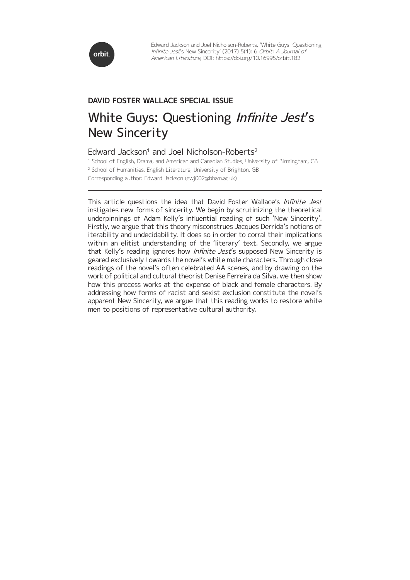

# White Guys: Questioning Infinite Jest's New Sincerity

#### Edward Jackson<sup>1</sup> and Joel Nicholson-Roberts<sup>2</sup>

<sup>1</sup> School of English, Drama, and American and Canadian Studies, University of Birmingham, GB <sup>2</sup> School of Humanities, English Literature, University of Brighton, GB Corresponding author: Edward Jackson [\(ewj002@bham.ac.uk](mailto:ewj002@bham.ac.uk))

This article questions the idea that David Foster Wallace's Infinite Jest instigates new forms of sincerity. We begin by scrutinizing the theoretical underpinnings of Adam Kelly's influential reading of such 'New Sincerity'. Firstly, we argue that this theory misconstrues Jacques Derrida's notions of iterability and undecidability. It does so in order to corral their implications within an elitist understanding of the 'literary' text. Secondly, we argue that Kelly's reading ignores how Infinite Jest's supposed New Sincerity is geared exclusively towards the novel's white male characters. Through close readings of the novel's often celebrated AA scenes, and by drawing on the work of political and cultural theorist Denise Ferreira da Silva, we then show how this process works at the expense of black and female characters. By addressing how forms of racist and sexist exclusion constitute the novel's apparent New Sincerity, we argue that this reading works to restore white men to positions of representative cultural authority.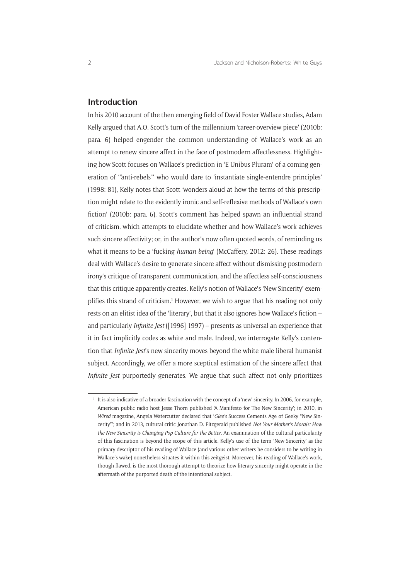#### **Introduction**

In his 2010 account of the then emerging field of David Foster Wallace studies, Adam Kelly argued that A.O. Scott's turn of the millennium 'career-overview piece' (2010b: para. 6) helped engender the common understanding of Wallace's work as an attempt to renew sincere affect in the face of postmodern affectlessness. Highlighting how Scott focuses on Wallace's prediction in 'E Unibus Pluram' of a coming generation of '"anti-rebels"' who would dare to 'instantiate single-entendre principles' (1998: 81), Kelly notes that Scott 'wonders aloud at how the terms of this prescription might relate to the evidently ironic and self-reflexive methods of Wallace's own fiction' (2010b: para. 6). Scott's comment has helped spawn an influential strand of criticism, which attempts to elucidate whether and how Wallace's work achieves such sincere affectivity; or, in the author's now often quoted words, of reminding us what it means to be a 'fucking *human being*' (McCaffery, 2012: 26). These readings deal with Wallace's desire to generate sincere affect without dismissing postmodern irony's critique of transparent communication, and the affectless self-consciousness that this critique apparently creates. Kelly's notion of Wallace's 'New Sincerity' exemplifies this strand of criticism.<sup>1</sup> However, we wish to argue that his reading not only rests on an elitist idea of the 'literary', but that it also ignores how Wallace's fiction – and particularly *Infinite Jest* ([1996] 1997) – presents as universal an experience that it in fact implicitly codes as white and male. Indeed, we interrogate Kelly's contention that *Infinite Jest*'s new sincerity moves beyond the white male liberal humanist subject. Accordingly, we offer a more sceptical estimation of the sincere affect that *Infinite Jest* purportedly generates. We argue that such affect not only prioritizes

<sup>&</sup>lt;sup>1</sup> It is also indicative of a broader fascination with the concept of a 'new' sincerity. In 2006, for example, American public radio host Jesse Thorn published 'A Manifesto for The New Sincerity'; in 2010, in *Wired* magazine, Angela Watercutter declared that '*Glee's* Success Cements Age of Geeky "New Sincerity"'; and in 2013, cultural critic Jonathan D. Fitzgerald published *Not Your Mother's Morals: How the New Sincerity is Changing Pop Culture for the Better*. An examination of the cultural particularity of this fascination is beyond the scope of this article. Kelly's use of the term 'New Sincerity' as the primary descriptor of his reading of Wallace (and various other writers he considers to be writing in Wallace's wake) nonetheless situates it within this zeitgeist. Moreover, his reading of Wallace's work, though flawed, is the most thorough attempt to theorize how literary sincerity might operate in the aftermath of the purported death of the intentional subject.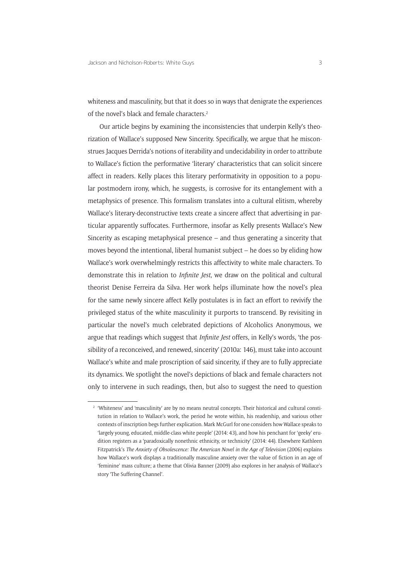whiteness and masculinity, but that it does so in ways that denigrate the experiences of the novel's black and female characters.2

Our article begins by examining the inconsistencies that underpin Kelly's theorization of Wallace's supposed New Sincerity. Specifically, we argue that he misconstrues Jacques Derrida's notions of iterability and undecidability in order to attribute to Wallace's fiction the performative 'literary' characteristics that can solicit sincere affect in readers. Kelly places this literary performativity in opposition to a popular postmodern irony, which, he suggests, is corrosive for its entanglement with a metaphysics of presence. This formalism translates into a cultural elitism, whereby Wallace's literary-deconstructive texts create a sincere affect that advertising in particular apparently suffocates. Furthermore, insofar as Kelly presents Wallace's New Sincerity as escaping metaphysical presence – and thus generating a sincerity that moves beyond the intentional, liberal humanist subject – he does so by eliding how Wallace's work overwhelmingly restricts this affectivity to white male characters. To demonstrate this in relation to *Infinite Jest*, we draw on the political and cultural theorist Denise Ferreira da Silva. Her work helps illuminate how the novel's plea for the same newly sincere affect Kelly postulates is in fact an effort to revivify the privileged status of the white masculinity it purports to transcend. By revisiting in particular the novel's much celebrated depictions of Alcoholics Anonymous, we argue that readings which suggest that *Infinite Jest* offers, in Kelly's words, 'the possibility of a reconceived, and renewed, sincerity' (2010a: 146), must take into account Wallace's white and male proscription of said sincerity, if they are to fully appreciate its dynamics. We spotlight the novel's depictions of black and female characters not only to intervene in such readings, then, but also to suggest the need to question

<sup>&</sup>lt;sup>2</sup> 'Whiteness' and 'masculinity' are by no means neutral concepts. Their historical and cultural constitution in relation to Wallace's work, the period he wrote within, his readership, and various other contexts of inscription begs further explication. Mark McGurl for one considers how Wallace speaks to 'largely young, educated, middle-class white people' (2014: 43), and how his penchant for 'geeky' erudition registers as a 'paradoxically nonethnic ethnicity, or technicity' (2014: 44). Elsewhere Kathleen Fitzpatrick's *The Anxiety of Obsolescence: The American Novel in the Age of Television* (2006) explains how Wallace's work displays a traditionally masculine anxiety over the value of fiction in an age of 'feminine' mass culture; a theme that Olivia Banner (2009) also explores in her analysis of Wallace's story 'The Suffering Channel'.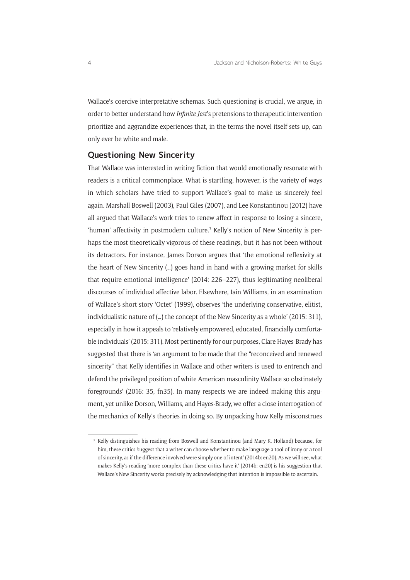Wallace's coercive interpretative schemas. Such questioning is crucial, we argue, in order to better understand how *Infinite Jest*'s pretensions to therapeutic intervention prioritize and aggrandize experiences that, in the terms the novel itself sets up, can only ever be white and male.

#### **Questioning New Sincerity**

That Wallace was interested in writing fiction that would emotionally resonate with readers is a critical commonplace. What is startling, however, is the variety of ways in which scholars have tried to support Wallace's goal to make us sincerely feel again. Marshall Boswell (2003), Paul Giles (2007), and Lee Konstantinou (2012) have all argued that Wallace's work tries to renew affect in response to losing a sincere, 'human' affectivity in postmodern culture.<sup>3</sup> Kelly's notion of New Sincerity is perhaps the most theoretically vigorous of these readings, but it has not been without its detractors. For instance, James Dorson argues that 'the emotional reflexivity at the heart of New Sincerity (…) goes hand in hand with a growing market for skills that require emotional intelligence' (2014: 226–227), thus legitimating neoliberal discourses of individual affective labor. Elsewhere, Iain Williams, in an examination of Wallace's short story 'Octet' (1999), observes 'the underlying conservative, elitist, individualistic nature of (…) the concept of the New Sincerity as a whole' (2015: 311), especially in how it appeals to 'relatively empowered, educated, financially comfortable individuals' (2015: 311). Most pertinently for our purposes, Clare Hayes-Brady has suggested that there is 'an argument to be made that the "reconceived and renewed sincerity" that Kelly identifies in Wallace and other writers is used to entrench and defend the privileged position of white American masculinity Wallace so obstinately foregrounds' (2016: 35, fn35). In many respects we are indeed making this argument, yet unlike Dorson, Williams, and Hayes-Brady, we offer a close interrogation of the mechanics of Kelly's theories in doing so. By unpacking how Kelly misconstrues

<sup>&</sup>lt;sup>3</sup> Kelly distinguishes his reading from Boswell and Konstantinou (and Mary K. Holland) because, for him, these critics 'suggest that a writer can choose whether to make language a tool of irony or a tool of sincerity, as if the difference involved were simply one of intent' (2014b: en20). As we will see, what makes Kelly's reading 'more complex than these critics have it' (2014b: en20) is his suggestion that Wallace's New Sincerity works precisely by acknowledging that intention is impossible to ascertain.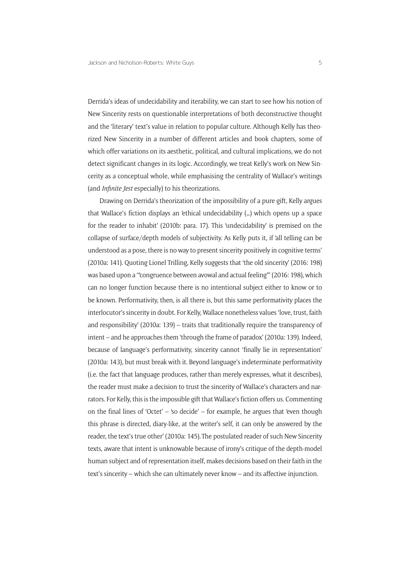Derrida's ideas of undecidability and iterability, we can start to see how his notion of New Sincerity rests on questionable interpretations of both deconstructive thought and the 'literary' text's value in relation to popular culture. Although Kelly has theorized New Sincerity in a number of different articles and book chapters, some of which offer variations on its aesthetic, political, and cultural implications, we do not detect significant changes in its logic. Accordingly, we treat Kelly's work on New Sincerity as a conceptual whole, while emphasising the centrality of Wallace's writings (and *Infinite Jest* especially) to his theorizations.

Drawing on Derrida's theorization of the impossibility of a pure gift, Kelly argues that Wallace's fiction displays an 'ethical undecidability (…) which opens up a space for the reader to inhabit' (2010b: para. 17). This 'undecidability' is premised on the collapse of surface/depth models of subjectivity. As Kelly puts it, if 'all telling can be understood as a pose, there is no way to present sincerity positively in cognitive terms' (2010a: 141). Quoting Lionel Trilling, Kelly suggests that 'the old sincerity' (2016: 198) was based upon a '"congruence between avowal and actual feeling"' (2016: 198), which can no longer function because there is no intentional subject either to know or to be known. Performativity, then, is all there is, but this same performativity places the interlocutor's sincerity in doubt. For Kelly, Wallace nonetheless values 'love, trust, faith and responsibility' (2010a: 139) – traits that traditionally require the transparency of intent – and he approaches them 'through the frame of paradox' (2010a: 139). Indeed, because of language's performativity, sincerity cannot 'finally lie in representation' (2010a: 143), but must break with it. Beyond language's indeterminate performativity (i.e. the fact that language produces, rather than merely expresses, what it describes), the reader must make a decision to trust the sincerity of Wallace's characters and narrators. For Kelly, this is the impossible gift that Wallace's fiction offers us. Commenting on the final lines of 'Octet' – 'so decide' – for example, he argues that 'even though this phrase is directed, diary-like, at the writer's self, it can only be answered by the reader, the text's true other' (2010a: 145).The postulated reader of such New Sincerity texts, aware that intent is unknowable because of irony's critique of the depth-model human subject and of representation itself, makes decisions based on their faith in the text's sincerity – which she can ultimately never know – and its affective injunction.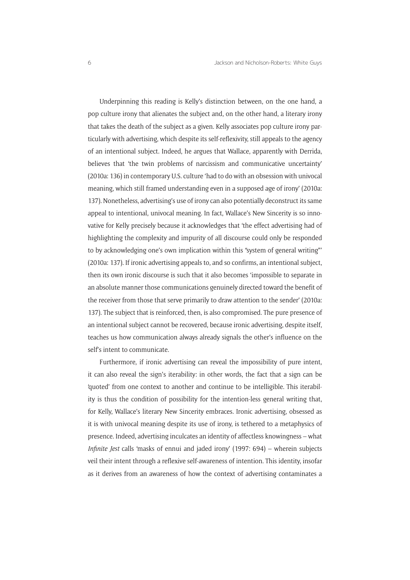Underpinning this reading is Kelly's distinction between, on the one hand, a pop culture irony that alienates the subject and, on the other hand, a literary irony that takes the death of the subject as a given. Kelly associates pop culture irony particularly with advertising, which despite its self-reflexivity, still appeals to the agency of an intentional subject. Indeed, he argues that Wallace, apparently with Derrida, believes that 'the twin problems of narcissism and communicative uncertainty' (2010a: 136) in contemporary U.S. culture 'had to do with an obsession with univocal meaning, which still framed understanding even in a supposed age of irony' (2010a: 137). Nonetheless, advertising's use of irony can also potentially deconstruct its same appeal to intentional, univocal meaning. In fact, Wallace's New Sincerity is so innovative for Kelly precisely because it acknowledges that 'the effect advertising had of highlighting the complexity and impurity of all discourse could only be responded to by acknowledging one's own implication within this "system of general writing"' (2010a: 137). If ironic advertising appeals to, and so confirms, an intentional subject, then its own ironic discourse is such that it also becomes 'impossible to separate in an absolute manner those communications genuinely directed toward the benefit of the receiver from those that serve primarily to draw attention to the sender' (2010a: 137). The subject that is reinforced, then, is also compromised. The pure presence of an intentional subject cannot be recovered, because ironic advertising, despite itself, teaches us how communication always already signals the other's influence on the self's intent to communicate.

Furthermore, if ironic advertising can reveal the impossibility of pure intent, it can also reveal the sign's iterability: in other words, the fact that a sign can be 'quoted' from one context to another and continue to be intelligible. This iterability is thus the condition of possibility for the intention-less general writing that, for Kelly, Wallace's literary New Sincerity embraces. Ironic advertising, obsessed as it is with univocal meaning despite its use of irony, is tethered to a metaphysics of presence. Indeed, advertising inculcates an identity of affectless knowingness – what *Infinite Jest* calls 'masks of ennui and jaded irony' (1997: 694) – wherein subjects veil their intent through a reflexive self-awareness of intention. This identity, insofar as it derives from an awareness of how the context of advertising contaminates a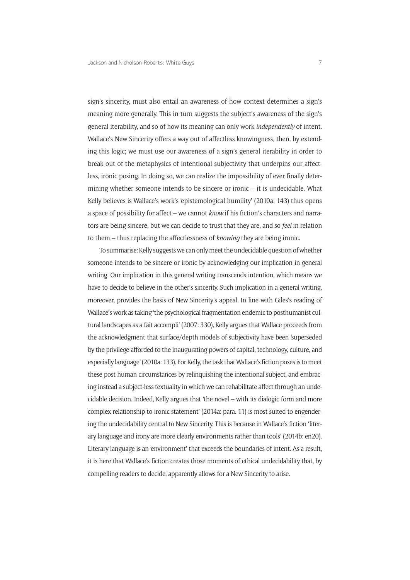sign's sincerity, must also entail an awareness of how context determines a sign's meaning more generally. This in turn suggests the subject's awareness of the sign's general iterability, and so of how its meaning can only work *independently* of intent. Wallace's New Sincerity offers a way out of affectless knowingness, then, by extending this logic; we must use our awareness of a sign's general iterability in order to break out of the metaphysics of intentional subjectivity that underpins our affectless, ironic posing. In doing so, we can realize the impossibility of ever finally determining whether someone intends to be sincere or ironic – it is undecidable. What Kelly believes is Wallace's work's 'epistemological humility' (2010a: 143) thus opens a space of possibility for affect – we cannot *know* if his fiction's characters and narrators are being sincere, but we can decide to trust that they are, and so *feel* in relation to them – thus replacing the affectlessness of *knowing* they are being ironic.

To summarise: Kelly suggests we can only meet the undecidable question of whether someone intends to be sincere or ironic by acknowledging our implication in general writing. Our implication in this general writing transcends intention, which means we have to decide to believe in the other's sincerity. Such implication in a general writing, moreover, provides the basis of New Sincerity's appeal. In line with Giles's reading of Wallace's work as taking 'the psychological fragmentation endemic to posthumanist cultural landscapes as a fait accompli' (2007: 330), Kelly argues that Wallace proceeds from the acknowledgment that surface/depth models of subjectivity have been 'superseded by the privilege afforded to the inaugurating powers of capital, technology, culture, and especially language' (2010a: 133). For Kelly, the task that Wallace's fiction poses is to meet these post-human circumstances by relinquishing the intentional subject, and embracing instead a subject-less textuality in which we can rehabilitate affect through an undecidable decision. Indeed, Kelly argues that 'the novel – with its dialogic form and more complex relationship to ironic statement' (2014a: para. 11) is most suited to engendering the undecidability central to New Sincerity. This is because in Wallace's fiction 'literary language and irony are more clearly environments rather than tools' (2014b: en20). Literary language is an 'environment' that exceeds the boundaries of intent. As a result, it is here that Wallace's fiction creates those moments of ethical undecidability that, by compelling readers to decide, apparently allows for a New Sincerity to arise.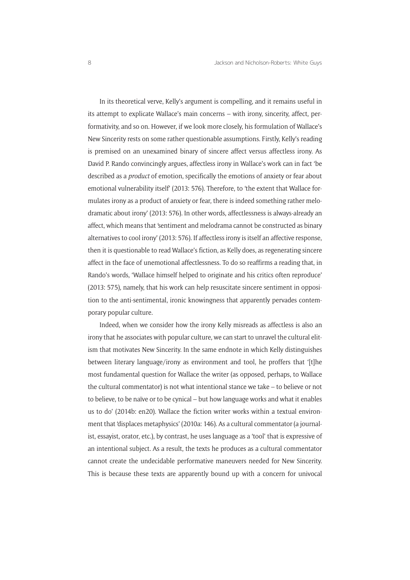In its theoretical verve, Kelly's argument is compelling, and it remains useful in its attempt to explicate Wallace's main concerns – with irony, sincerity, affect, performativity, and so on. However, if we look more closely, his formulation of Wallace's New Sincerity rests on some rather questionable assumptions. Firstly, Kelly's reading is premised on an unexamined binary of sincere affect versus affectless irony. As David P. Rando convincingly argues, affectless irony in Wallace's work can in fact 'be described as a *product* of emotion, specifically the emotions of anxiety or fear about emotional vulnerability itself' (2013: 576). Therefore, to 'the extent that Wallace formulates irony as a product of anxiety or fear, there is indeed something rather melodramatic about irony' (2013: 576). In other words, affectlessness is always-already an affect, which means that 'sentiment and melodrama cannot be constructed as binary alternatives to cool irony' (2013: 576). If affectless irony is itself an affective response, then it is questionable to read Wallace's fiction, as Kelly does, as regenerating sincere affect in the face of unemotional affectlessness. To do so reaffirms a reading that, in Rando's words, 'Wallace himself helped to originate and his critics often reproduce' (2013: 575), namely, that his work can help resuscitate sincere sentiment in opposition to the anti-sentimental, ironic knowingness that apparently pervades contemporary popular culture.

Indeed, when we consider how the irony Kelly misreads as affectless is also an irony that he associates with popular culture, we can start to unravel the cultural elitism that motivates New Sincerity. In the same endnote in which Kelly distinguishes between literary language/irony as environment and tool, he proffers that '[t]he most fundamental question for Wallace the writer (as opposed, perhaps, to Wallace the cultural commentator) is not what intentional stance we take – to believe or not to believe, to be naïve or to be cynical – but how language works and what it enables us to do' (2014b: en20). Wallace the fiction writer works within a textual environment that 'displaces metaphysics' (2010a: 146). As a cultural commentator (a journalist, essayist, orator, etc.), by contrast, he uses language as a 'tool' that is expressive of an intentional subject. As a result, the texts he produces as a cultural commentator cannot create the undecidable performative maneuvers needed for New Sincerity. This is because these texts are apparently bound up with a concern for univocal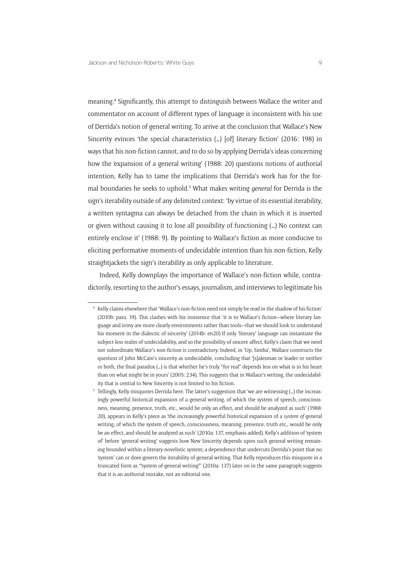meaning.4 Significantly, this attempt to distinguish between Wallace the writer and commentator on account of different types of language is inconsistent with his use of Derrida's notion of general writing. To arrive at the conclusion that Wallace's New Sincerity evinces 'the special characteristics (…) [of] literary fiction' (2016: 198) in ways that his non-fiction cannot, and to do so by applying Derrida's ideas concerning how the 'expansion of a general writing' (1988: 20) questions notions of authorial intention, Kelly has to tame the implications that Derrida's work has for the formal boundaries he seeks to uphold.<sup>5</sup> What makes writing *general* for Derrida is the sign's iterability outside of any delimited context: 'by virtue of its essential iterability, a written syntagma can always be detached from the chain in which it is inserted or given without causing it to lose all possibility of functioning (…) No context can entirely enclose it' (1988: 9). By pointing to Wallace's fiction as more conducive to eliciting performative moments of undecidable intention than his non-fiction, Kelly straightiackets the sign's iterability as only applicable to literature.

Indeed, Kelly downplays the importance of Wallace's non-fiction while, contradictorily, resorting to the author's essays, journalism, and interviews to legitimate his

<sup>4</sup> Kelly claims elsewhere that 'Wallace's non-fiction need not simply be read in the shadow of his fiction' (2010b: para. 19). This clashes with his insistence that 'it is to Wallace's fiction—where literary language and irony are more clearly environments rather than tools—that we should look to understand his moment in the dialectic of sincerity' (2014b: en20) If only 'literary' language can instantiate the subject-less realm of undecidability, and so the possibility of sincere affect, Kelly's claim that we need not subordinate Wallace's non-fiction is contradictory. Indeed, in 'Up, Simba', Wallace constructs the question of John McCain's sincerity as undecidable, concluding that '[s]alesman or leader or neither or both, the final paradox (…) is that whether he's truly "for real" depends less on what is in his heart than on what might be in yours' (2005: 234). This suggests that in Wallace's writing, the undecidability that is central to New Sincerity is not limited to his fiction.

<sup>5</sup> Tellingly, Kelly misquotes Derrida here. The latter's suggestion that 'we are witnessing (…) the increasingly powerful historical expansion of a general writing, of which the system of speech, consciousness, meaning, presence, truth, etc., would be only an effect, and should be analyzed as such' (1988: 20), appears in Kelly's piece as 'the increasingly powerful historical expansion of a *system of* general writing, of which the system of speech, consciousness, meaning, presence, truth etc., would be only be an effect, and should be analyzed as such' (2010a: 137, emphasis added). Kelly's addition of 'system of' before 'general writing' suggests how New Sincerity depends upon such general writing remaining bounded within a literary-novelistic system; a dependence that undercuts Derrida's point that no 'system' can or does govern the iterability of general writing. That Kelly reproduces this misquote in a truncated form as '"system of general writing"' (2010a: 137) later on in the same paragraph suggests that it is an authorial mistake, not an editorial one.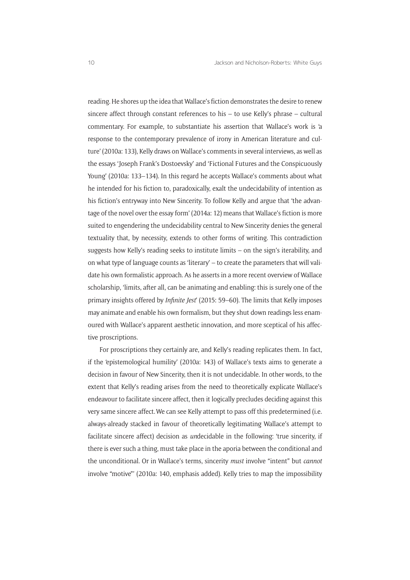reading. He shores up the idea that Wallace's fiction demonstrates the desire to renew sincere affect through constant references to his – to use Kelly's phrase – cultural commentary. For example, to substantiate his assertion that Wallace's work is 'a response to the contemporary prevalence of irony in American literature and culture' (2010a: 133), Kelly draws on Wallace's comments in several interviews, as well as the essays 'Joseph Frank's Dostoevsky' and 'Fictional Futures and the Conspicuously Young' (2010a: 133–134). In this regard he accepts Wallace's comments about what he intended for his fiction to, paradoxically, exalt the undecidability of intention as his fiction's entryway into New Sincerity. To follow Kelly and argue that 'the advantage of the novel over the essay form' (2014a: 12) means that Wallace's fiction is more suited to engendering the undecidability central to New Sincerity denies the general textuality that, by necessity, extends to other forms of writing. This contradiction suggests how Kelly's reading seeks to institute limits – on the sign's iterability, and on what type of language counts as 'literary' – to create the parameters that will validate his own formalistic approach. As he asserts in a more recent overview of Wallace scholarship, 'limits, after all, can be animating and enabling: this is surely one of the primary insights offered by *Infinite Jest*' (2015: 59–60). The limits that Kelly imposes may animate and enable his own formalism, but they shut down readings less enamoured with Wallace's apparent aesthetic innovation, and more sceptical of his affective proscriptions.

For proscriptions they certainly are, and Kelly's reading replicates them. In fact, if the 'epistemological humility' (2010a: 143) of Wallace's texts aims to generate a decision in favour of New Sincerity, then it is not undecidable. In other words, to the extent that Kelly's reading arises from the need to theoretically explicate Wallace's endeavour to facilitate sincere affect, then it logically precludes deciding against this very same sincere affect.We can see Kelly attempt to pass off this predetermined (i.e. always-already stacked in favour of theoretically legitimating Wallace's attempt to facilitate sincere affect) decision as *un*decidable in the following: 'true sincerity, if there is ever such a thing, must take place in the aporia between the conditional and the unconditional. Or in Wallace's terms, sincerity *must* involve "intent" but *cannot* involve "motive"' (2010a: 140, emphasis added). Kelly tries to map the impossibility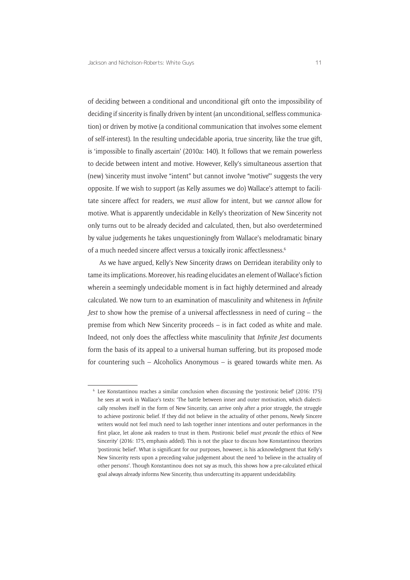of deciding between a conditional and unconditional gift onto the impossibility of deciding if sincerity is finally driven by intent (an unconditional, selfless communication) or driven by motive (a conditional communication that involves some element of self-interest). In the resulting undecidable aporia, true sincerity, like the true gift, is 'impossible to finally ascertain' (2010a: 140). It follows that we remain powerless to decide between intent and motive. However, Kelly's simultaneous assertion that (new) 'sincerity must involve "intent" but cannot involve "motive"' suggests the very opposite. If we wish to support (as Kelly assumes we do) Wallace's attempt to facilitate sincere affect for readers, we *must* allow for intent, but we *cannot* allow for motive. What is apparently undecidable in Kelly's theorization of New Sincerity not only turns out to be already decided and calculated, then, but also overdetermined by value judgements he takes unquestioningly from Wallace's melodramatic binary of a much needed sincere affect versus a toxically ironic affectlessness.6

As we have argued, Kelly's New Sincerity draws on Derridean iterability only to tame its implications. Moreover, his reading elucidates an element of Wallace's fiction wherein a seemingly undecidable moment is in fact highly determined and already calculated. We now turn to an examination of masculinity and whiteness in *Infinite Jest* to show how the premise of a universal affectlessness in need of curing – the premise from which New Sincerity proceeds – is in fact coded as white and male. Indeed, not only does the affectless white masculinity that *Infinite Jest* documents form the basis of its appeal to a universal human suffering, but its proposed mode for countering such – Alcoholics Anonymous – is geared towards white men. As

<sup>6</sup> Lee Konstantinou reaches a similar conclusion when discussing the 'postironic belief' (2016: 175) he sees at work in Wallace's texts: 'The battle between inner and outer motivation, which dialectically resolves itself in the form of New Sincerity, can arrive only after a prior struggle, the struggle to achieve postironic belief. If they did not believe in the actuality of other persons, Newly Sincere writers would not feel much need to lash together inner intentions and outer performances in the first place, let alone ask readers to trust in them. Postironic belief *must precede* the ethics of New Sincerity' (2016: 175, emphasis added). This is not the place to discuss how Konstantinou theorizes 'postironic belief'. What is significant for our purposes, however, is his acknowledgment that Kelly's New Sincerity rests upon a preceding value judgement about the need 'to believe in the actuality of other persons'. Though Konstantinou does not say as much, this shows how a pre-calculated ethical goal always already informs New Sincerity, thus undercutting its apparent undecidability.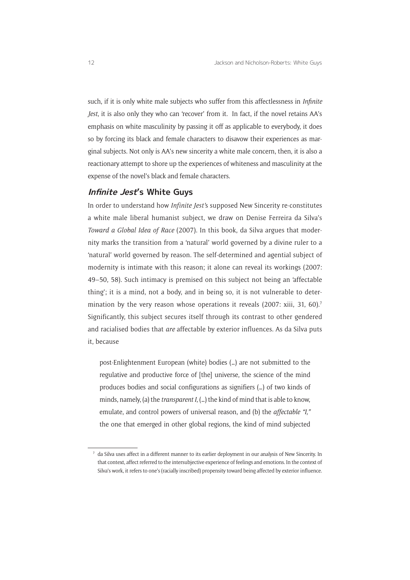such, if it is only white male subjects who suffer from this affectlessness in *Infinite Jest*, it is also only they who can 'recover' from it. In fact, if the novel retains AA's emphasis on white masculinity by passing it off as applicable to everybody, it does so by forcing its black and female characters to disavow their experiences as marginal subjects. Not only is AA's new sincerity a white male concern, then, it is also a reactionary attempt to shore up the experiences of whiteness and masculinity at the expense of the novel's black and female characters.

#### **Infinite Jest's White Guys**

In order to understand how *Infinite Jest'*s supposed New Sincerity re-constitutes a white male liberal humanist subject, we draw on Denise Ferreira da Silva's *Toward a Global Idea of Race* (2007). In this book, da Silva argues that modernity marks the transition from a 'natural' world governed by a divine ruler to a 'natural' world governed by reason. The self-determined and agential subject of modernity is intimate with this reason; it alone can reveal its workings (2007: 49–50, 58). Such intimacy is premised on this subject not being an 'affectable thing'; it is a mind, not a body, and in being so, it is not vulnerable to determination by the very reason whose operations it reveals (2007: xiii, 31, 60).<sup>7</sup> Significantly, this subject secures itself through its contrast to other gendered and racialised bodies that *are* affectable by exterior influences. As da Silva puts it, because

post-Enlightenment European (white) bodies (…) are not submitted to the regulative and productive force of [the] universe, the science of the mind produces bodies and social configurations as signifiers (…) of two kinds of minds, namely, (a) the *transparent I*, (…) the kind of mind that is able to know, emulate, and control powers of universal reason, and (b) the *affectable "I,"* the one that emerged in other global regions, the kind of mind subjected

<sup>7</sup> da Silva uses affect in a different manner to its earlier deployment in our analysis of New Sincerity. In that context, affect referred to the intersubjective experience of feelings and emotions. In the context of Silva's work, it refers to one's (racially inscribed) propensity toward being affected by exterior influence.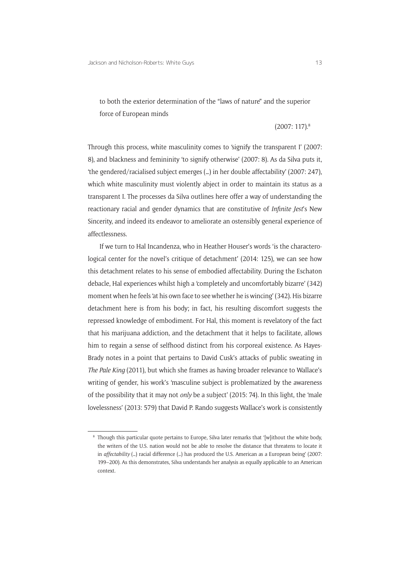to both the exterior determination of the "laws of nature" and the superior force of European minds

#### (2007: 117).8

Through this process, white masculinity comes to 'signify the transparent I' (2007: 8), and blackness and femininity 'to signify otherwise' (2007: 8). As da Silva puts it, 'the gendered/racialised subject emerges (…) in her double affectability' (2007: 247), which white masculinity must violently abject in order to maintain its status as a transparent I. The processes da Silva outlines here offer a way of understanding the reactionary racial and gender dynamics that are constitutive of *Infinite Jest*'s New Sincerity, and indeed its endeavor to ameliorate an ostensibly general experience of affectlessness.

If we turn to Hal Incandenza, who in Heather Houser's words 'is the characterological center for the novel's critique of detachment' (2014: 125), we can see how this detachment relates to his sense of embodied affectability. During the Eschaton debacle, Hal experiences whilst high a 'completely and uncomfortably bizarre' (342) moment when he feels 'at his own face to see whether he is wincing' (342). His bizarre detachment here is from his body; in fact, his resulting discomfort suggests the repressed knowledge of embodiment. For Hal, this moment is revelatory of the fact that his marijuana addiction, and the detachment that it helps to facilitate, allows him to regain a sense of selfhood distinct from his corporeal existence. As Hayes-Brady notes in a point that pertains to David Cusk's attacks of public sweating in *The Pale King* (2011), but which she frames as having broader relevance to Wallace's writing of gender, his work's 'masculine subject is problematized by the awareness of the possibility that it may not *only* be a subject' (2015: 74). In this light, the 'male lovelessness' (2013: 579) that David P. Rando suggests Wallace's work is consistently

<sup>8</sup> Though this particular quote pertains to Europe, Silva later remarks that '[w]ithout the white body, the writers of the U.S. nation would not be able to resolve the distance that threatens to locate it in *affectability* (…) racial difference (…) has produced the U.S. American as a European being' (2007: 199–200). As this demonstrates, Silva understands her analysis as equally applicable to an American context.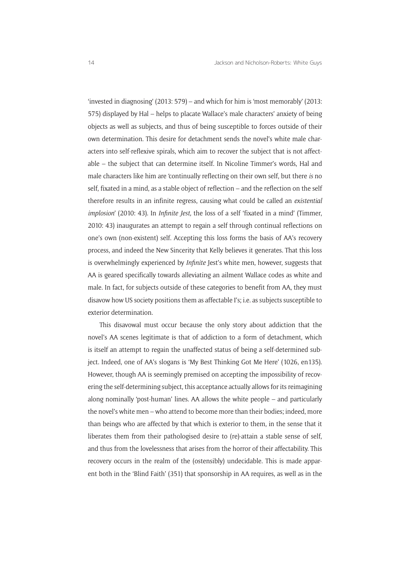'invested in diagnosing' (2013: 579) – and which for him is 'most memorably' (2013: 575) displayed by Hal – helps to placate Wallace's male characters' anxiety of being objects as well as subjects, and thus of being susceptible to forces outside of their own determination. This desire for detachment sends the novel's white male characters into self-reflexive spirals, which aim to recover the subject that is not affectable – the subject that can determine itself. In Nicoline Timmer's words, Hal and male characters like him are 'continually reflecting on their own self, but there *is* no self, fixated in a mind, as a stable object of reflection – and the reflection on the self therefore results in an infinite regress, causing what could be called an *existential implosion*' (2010: 43). In *Infinite Jest,* the loss of a self 'fixated in a mind' (Timmer, 2010: 43) inaugurates an attempt to regain a self through continual reflections on one's own (non-existent) self. Accepting this loss forms the basis of AA's recovery process, and indeed the New Sincerity that Kelly believes it generates. That this loss is overwhelmingly experienced by *Infinite* Iest's white men, however, suggests that AA is geared specifically towards alleviating an ailment Wallace codes as white and male. In fact, for subjects outside of these categories to benefit from AA, they must disavow how US society positions them as affectable I's; i.e. as subjects susceptible to exterior determination.

This disavowal must occur because the only story about addiction that the novel's AA scenes legitimate is that of addiction to a form of detachment, which is itself an attempt to regain the unaffected status of being a self-determined subject. Indeed, one of AA's slogans is 'My Best Thinking Got Me Here' (1026, en135). However, though AA is seemingly premised on accepting the impossibility of recovering the self-determining subject, this acceptance actually allows for its reimagining along nominally 'post-human' lines. AA allows the white people – and particularly the novel's white men – who attend to become more than their bodies; indeed, more than beings who are affected by that which is exterior to them, in the sense that it liberates them from their pathologised desire to (re)-attain a stable sense of self, and thus from the lovelessness that arises from the horror of their affectability. This recovery occurs in the realm of the (ostensibly) undecidable. This is made apparent both in the 'Blind Faith' (351) that sponsorship in AA requires, as well as in the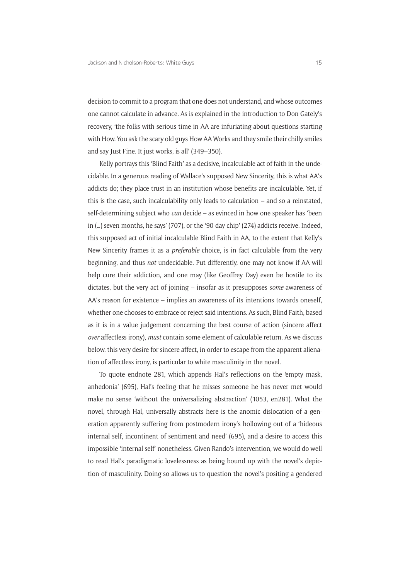decision to commit to a program that one does not understand, and whose outcomes one cannot calculate in advance. As is explained in the introduction to Don Gately's recovery, 'the folks with serious time in AA are infuriating about questions starting with How. You ask the scary old guys How AA Works and they smile their chilly smiles and say Just Fine. It just works, is all' (349–350)*.*

Kelly portrays this 'Blind Faith' as a decisive, incalculable act of faith in the undecidable. In a generous reading of Wallace's supposed New Sincerity, this is what AA's addicts do; they place trust in an institution whose benefits are incalculable. Yet, if this is the case, such incalculability only leads to calculation – and so a reinstated, self-determining subject who *can* decide – as evinced in how one speaker has 'been in (…) seven months, he says' (707), or the '90-day chip' (274) addicts receive. Indeed, this supposed act of initial incalculable Blind Faith in AA, to the extent that Kelly's New Sincerity frames it as a *preferable* choice, is in fact calculable from the very beginning, and thus *not* undecidable. Put differently, one may not know if AA will help cure their addiction, and one may (like Geoffrey Day) even be hostile to its dictates, but the very act of joining – insofar as it presupposes *some* awareness of AA's reason for existence – implies an awareness of its intentions towards oneself, whether one chooses to embrace or reject said intentions. As such, Blind Faith, based as it is in a value judgement concerning the best course of action (sincere affect *over* affectless irony), *must* contain some element of calculable return. As we discuss below, this very desire for sincere affect, in order to escape from the apparent alienation of affectless irony, is particular to white masculinity in the novel.

To quote endnote 281, which appends Hal's reflections on the 'empty mask, anhedonia' (695), Hal's feeling that he misses someone he has never met would make no sense 'without the universalizing abstraction' (1053, en281). What the novel, through Hal, universally abstracts here is the anomic dislocation of a generation apparently suffering from postmodern irony's hollowing out of a 'hideous internal self, incontinent of sentiment and need' (695), and a desire to access this impossible 'internal self' nonetheless. Given Rando's intervention, we would do well to read Hal's paradigmatic lovelessness as being bound up with the novel's depiction of masculinity. Doing so allows us to question the novel's positing a gendered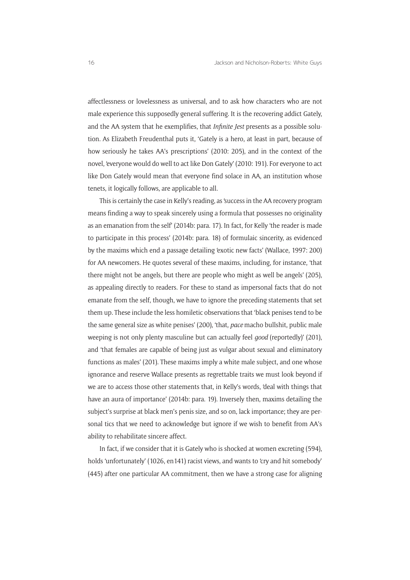affectlessness or lovelessness as universal, and to ask how characters who are not male experience this supposedly general suffering. It is the recovering addict Gately, and the AA system that he exemplifies, that *Infinite Jest* presents as a possible solution. As Elizabeth Freudenthal puts it, 'Gately is a hero, at least in part, because of how seriously he takes AA's prescriptions' (2010: 205), and in the context of the novel, 'everyone would do well to act like Don Gately' (2010: 191). For everyone to act like Don Gately would mean that everyone find solace in AA, an institution whose tenets, it logically follows, are applicable to all.

This is certainly the case in Kelly's reading, as 'success in the AA recovery program means finding a way to speak sincerely using a formula that possesses no originality as an emanation from the self' (2014b: para. 17). In fact, for Kelly 'the reader is made to participate in this process' (2014b: para. 18) of formulaic sincerity, as evidenced by the maxims which end a passage detailing 'exotic new facts' (Wallace, 1997: 200) for AA newcomers. He quotes several of these maxims, including, for instance, 'that there might not be angels, but there are people who might as well be angels' (205), as appealing directly to readers. For these to stand as impersonal facts that do not emanate from the self, though, we have to ignore the preceding statements that set them up. These include the less homiletic observations that 'black penises tend to be the same general size as white penises' (200), 'that, *pace* macho bullshit, public male weeping is not only plenty masculine but can actually feel *good* (reportedly)' (201), and 'that females are capable of being just as vulgar about sexual and eliminatory functions as males' (201). These maxims imply a white male subject, and one whose ignorance and reserve Wallace presents as regrettable traits we must look beyond if we are to access those other statements that, in Kelly's words, 'deal with things that have an aura of importance' (2014b: para. 19). Inversely then, maxims detailing the subject's surprise at black men's penis size, and so on, lack importance; they are personal tics that we need to acknowledge but ignore if we wish to benefit from AA's ability to rehabilitate sincere affect.

In fact, if we consider that it is Gately who is shocked at women excreting (594), holds 'unfortunately' (1026, en141) racist views, and wants to 'cry and hit somebody' (445) after one particular AA commitment, then we have a strong case for aligning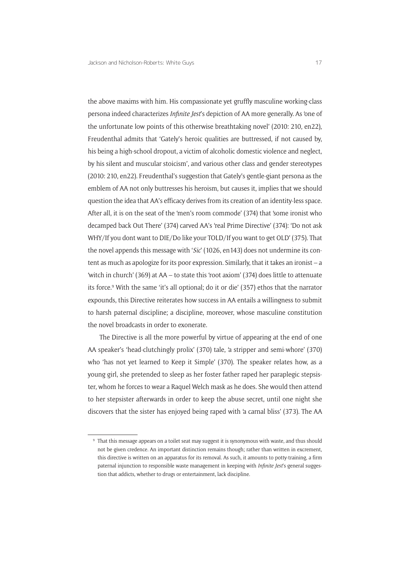the above maxims with him. His compassionate yet gruffly masculine working-class persona indeed characterizes *Infinite Jest*'s depiction of AA more generally. As 'one of the unfortunate low points of this otherwise breathtaking novel' (2010: 210, en22), Freudenthal admits that 'Gately's heroic qualities are buttressed, if not caused by, his being a high-school dropout, a victim of alcoholic domestic violence and neglect, by his silent and muscular stoicism', and various other class and gender stereotypes (2010: 210, en22). Freudenthal's suggestion that Gately's gentle-giant persona as the emblem of AA not only buttresses his heroism, but causes it, implies that we should question the idea that AA's efficacy derives from its creation of an identity-less space. After all, it is on the seat of the 'men's room commode' (374) that 'some ironist who decamped back Out There' (374) carved AA's 'real Prime Directive' (374): 'Do not ask WHY/If you dont want to DIE/Do like your TOLD/If you want to get OLD' (375). That the novel appends this message with '*Sic*' (1026, en143) does not undermine its content as much as apologize for its poor expression. Similarly, that it takes an ironist – a 'witch in church' (369) at AA – to state this 'root axiom' (374) does little to attenuate its force.<sup>9</sup> With the same 'it's all optional; do it or die' (357) ethos that the narrator expounds, this Directive reiterates how success in AA entails a willingness to submit to harsh paternal discipline; a discipline, moreover, whose masculine constitution the novel broadcasts in order to exonerate.

The Directive is all the more powerful by virtue of appearing at the end of one AA speaker's 'head-clutchingly prolix' (370) tale, 'a stripper and semi-whore' (370) who 'has not yet learned to Keep it Simple' (370). The speaker relates how, as a young girl, she pretended to sleep as her foster father raped her paraplegic stepsister, whom he forces to wear a Raquel Welch mask as he does. She would then attend to her stepsister afterwards in order to keep the abuse secret, until one night she discovers that the sister has enjoyed being raped with 'a carnal bliss' (373). The AA

<sup>&</sup>lt;sup>9</sup> That this message appears on a toilet seat may suggest it is synonymous with waste, and thus should not be given credence. An important distinction remains though; rather than written in excrement, this directive is written on an apparatus for its removal. As such, it amounts to potty-training, a firm paternal injunction to responsible waste management in keeping with *Infinite Jest*'s general suggestion that addicts, whether to drugs or entertainment, lack discipline.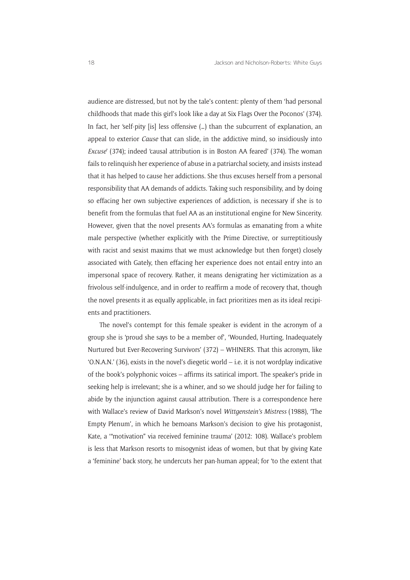audience are distressed, but not by the tale's content: plenty of them 'had personal childhoods that made this girl's look like a day at Six Flags Over the Poconos' (374). In fact, her 'self-pity [is] less offensive (...) than the subcurrent of explanation, an appeal to exterior *Cause* that can slide, in the addictive mind, so insidiously into *Excuse*' (374); indeed 'causal attribution is in Boston AA feared' (374). The woman fails to relinquish her experience of abuse in a patriarchal society, and insists instead that it has helped to cause her addictions. She thus excuses herself from a personal responsibility that AA demands of addicts. Taking such responsibility, and by doing so effacing her own subjective experiences of addiction, is necessary if she is to benefit from the formulas that fuel AA as an institutional engine for New Sincerity. However, given that the novel presents AA's formulas as emanating from a white male perspective (whether explicitly with the Prime Directive, or surreptitiously with racist and sexist maxims that we must acknowledge but then forget) closely associated with Gately, then effacing her experience does not entail entry into an impersonal space of recovery. Rather, it means denigrating her victimization as a frivolous self-indulgence, and in order to reaffirm a mode of recovery that, though the novel presents it as equally applicable, in fact prioritizes men as its ideal recipients and practitioners.

The novel's contempt for this female speaker is evident in the acronym of a group she is 'proud she says to be a member of', 'Wounded, Hurting, Inadequately Nurtured but Ever-Recovering Survivors' (372) – WHINERS. That this acronym, like 'O.N.A.N.' (36), exists in the novel's diegetic world – i.e. it is not wordplay indicative of the book's polyphonic voices – affirms its satirical import. The speaker's pride in seeking help is irrelevant; she is a whiner, and so we should judge her for failing to abide by the injunction against causal attribution. There is a correspondence here with Wallace's review of David Markson's novel *Wittgenstein's Mistress* (1988), 'The Empty Plenum', in which he bemoans Markson's decision to give his protagonist, Kate, a '"motivation" via received feminine trauma' (2012: 108). Wallace's problem is less that Markson resorts to misogynist ideas of women, but that by giving Kate a 'feminine' back story, he undercuts her pan-human appeal; for 'to the extent that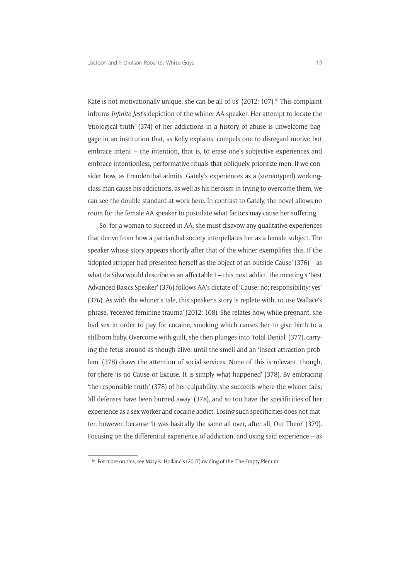Kate is not motivationally unique, she can be all of us' (2012: 107).<sup>10</sup> This complaint informs *Infinite Jest*'s depiction of the whiner AA speaker. Her attempt to locate the 'etiological truth' (374) of her addictions in a history of abuse is unwelcome baggage in an institution that, as Kelly explains, compels one to disregard motive but embrace intent – the intention, that is, to erase one's subjective experiences and embrace intentionless, performative rituals that obliquely prioritize men. If we consider how, as Freudenthal admits, Gately's experiences as a (stereotyped) workingclass man cause his addictions, as well as his heroism in trying to overcome them, we can see the double standard at work here. In contrast to Gately, the novel allows no room for the female AA speaker to postulate what factors may cause her suffering.

So, for a woman to succeed in AA, she must disavow any qualitative experiences that derive from how a patriarchal society interpellates her as a female subject. The speaker whose story appears shortly after that of the whiner exemplifies this. If the 'adopted stripper had presented herself as the object of an outside Cause' (376) – as what da Silva would describe as an affectable I – this next addict, the meeting's 'best Advanced Basics Speaker' (376) follows AA's dictate of 'Cause: no; responsibility: yes' (376). As with the whiner's tale, this speaker's story is replete with, to use Wallace's phrase, 'received feminine trauma' (2012: 108). She relates how, while pregnant, she had sex in order to pay for cocaine, smoking which causes her to give birth to a stillborn baby. Overcome with guilt, she then plunges into 'total Denial' (377), carrying the fetus around as though alive, until the smell and an 'insect-attraction problem' (378) draws the attention of social services. None of this is relevant, though, for there 'is no Cause or Excuse. It is simply what happened' (378). By embracing 'the responsible truth' (378) of her culpability, she succeeds where the whiner fails; 'all defenses have been burned away' (378), and so too have the specificities of her experience as a sex worker and cocaine addict. Losing such specificities does not matter, however, because 'it was basically the same all over, after all, Out There' (379). Focusing on the differential experience of addiction, and using said experience – as

<sup>&</sup>lt;sup>10</sup> For more on this, see Mary K. Holland's (2017) reading of the 'The Empty Plenum'.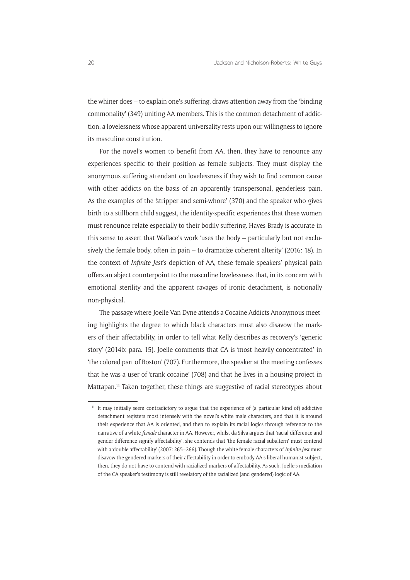the whiner does – to explain one's suffering, draws attention away from the 'binding commonality' (349) uniting AA members. This is the common detachment of addiction, a lovelessness whose apparent universality rests upon our willingness to ignore its masculine constitution.

For the novel's women to benefit from AA, then, they have to renounce any experiences specific to their position as female subjects. They must display the anonymous suffering attendant on lovelessness if they wish to find common cause with other addicts on the basis of an apparently transpersonal, genderless pain. As the examples of the 'stripper and semi-whore' (370) and the speaker who gives birth to a stillborn child suggest, the identity-specific experiences that these women must renounce relate especially to their bodily suffering. Hayes-Brady is accurate in this sense to assert that Wallace's work 'uses the body – particularly but not exclusively the female body, often in pain – to dramatize coherent alterity' (2016: 18). In the context of *Infinite Jest*'s depiction of AA, these female speakers' physical pain offers an abject counterpoint to the masculine lovelessness that, in its concern with emotional sterility and the apparent ravages of ironic detachment, is notionally non-physical.

The passage where Joelle Van Dyne attends a Cocaine Addicts Anonymous meeting highlights the degree to which black characters must also disavow the markers of their affectability, in order to tell what Kelly describes as recovery's 'generic story' (2014b: para. 15). Joelle comments that CA is 'most heavily concentrated' in 'the colored part of Boston' (707). Furthermore, the speaker at the meeting confesses that he was a user of 'crank cocaine' (708) and that he lives in a housing project in Mattapan.<sup>11</sup> Taken together, these things are suggestive of racial stereotypes about

 $11$  It may initially seem contradictory to argue that the experience of (a particular kind of) addictive detachment registers most intensely with the novel's white male characters, and that it is around their experience that AA is oriented, and then to explain its racial logics through reference to the narrative of a white *female* character in AA. However, whilst da Silva argues that 'racial difference and gender difference signify affectability', she contends that 'the female racial subaltern' must contend with a 'double affectability' (2007: 265–266). Though the white female characters of *Infinite Jest* must disavow the gendered markers of their affectability in order to embody AA's liberal humanist subject, then, they do not have to contend with racialized markers of affectability. As such, Joelle's mediation of the CA speaker's testimony is still revelatory of the racialized (and gendered) logic of AA.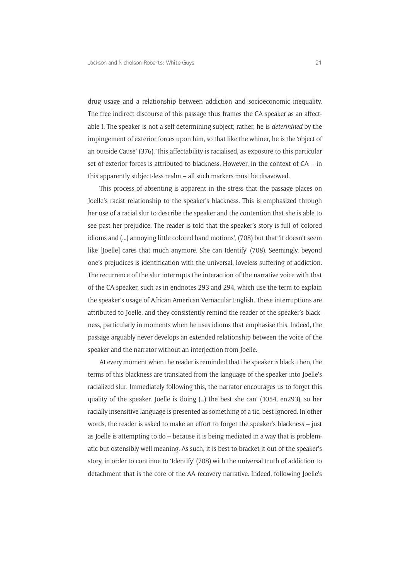drug usage and a relationship between addiction and socioeconomic inequality. The free indirect discourse of this passage thus frames the CA speaker as an affectable I. The speaker is not a self-determining subject; rather, he is *determined* by the impingement of exterior forces upon him, so that like the whiner, he is the 'object of an outside Cause' (376). This affectability is racialised, as exposure to this particular set of exterior forces is attributed to blackness. However, in the context of CA – in this apparently subject-less realm – all such markers must be disavowed.

This process of absenting is apparent in the stress that the passage places on Joelle's racist relationship to the speaker's blackness. This is emphasized through her use of a racial slur to describe the speaker and the contention that she is able to see past her prejudice. The reader is told that the speaker's story is full of 'colored idioms and (...) annoying little colored hand motions', (708) but that 'it doesn't seem like [Joelle] cares that much anymore. She can Identify' (708). Seemingly, beyond one's prejudices is identification with the universal, loveless suffering of addiction. The recurrence of the slur interrupts the interaction of the narrative voice with that of the CA speaker, such as in endnotes 293 and 294, which use the term to explain the speaker's usage of African American Vernacular English. These interruptions are attributed to Joelle, and they consistently remind the reader of the speaker's blackness, particularly in moments when he uses idioms that emphasise this. Indeed, the passage arguably never develops an extended relationship between the voice of the speaker and the narrator without an interjection from Joelle.

At every moment when the reader is reminded that the speaker is black, then, the terms of this blackness are translated from the language of the speaker into Joelle's racialized slur. Immediately following this, the narrator encourages us to forget this quality of the speaker. Joelle is 'doing (…) the best she can' (1054, en293), so her racially insensitive language is presented as something of a tic, best ignored. In other words, the reader is asked to make an effort to forget the speaker's blackness – just as Joelle is attempting to do – because it is being mediated in a way that is problematic but ostensibly well meaning. As such, it is best to bracket it out of the speaker's story, in order to continue to 'Identify' (708) with the universal truth of addiction to detachment that is the core of the AA recovery narrative. Indeed, following Joelle's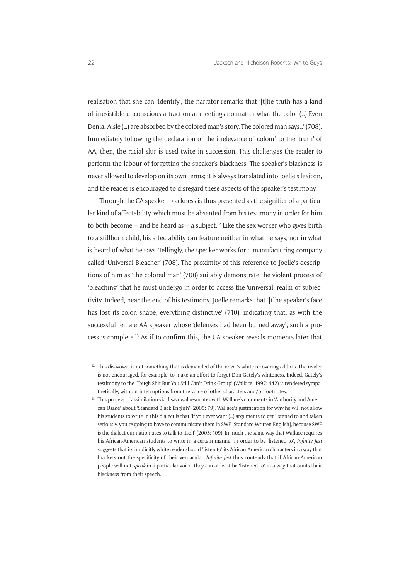realisation that she can 'Identify', the narrator remarks that '[t]he truth has a kind of irresistible unconscious attraction at meetings no matter what the color (…) Even Denial Aisle (…) are absorbed by the colored man's story. The colored man says…' (708). Immediately following the declaration of the irrelevance of 'colour' to the 'truth' of AA, then, the racial slur is used twice in succession. This challenges the reader to perform the labour of forgetting the speaker's blackness. The speaker's blackness is never allowed to develop on its own terms; it is always translated into Joelle's lexicon, and the reader is encouraged to disregard these aspects of the speaker's testimony.

Through the CA speaker, blackness is thus presented as the signifier of a particular kind of affectability, which must be absented from his testimony in order for him to both become – and be heard as – a subject.<sup>12</sup> Like the sex worker who gives birth to a stillborn child, his affectability can feature neither in what he says, nor in what is heard of what he says. Tellingly, the speaker works for a manufacturing company called 'Universal Bleacher' (708). The proximity of this reference to Joelle's descriptions of him as 'the colored man' (708) suitably demonstrate the violent process of 'bleaching' that he must undergo in order to access the 'universal' realm of subjectivity. Indeed, near the end of his testimony, Joelle remarks that '[t]he speaker's face has lost its color, shape, everything distinctive' (710), indicating that, as with the successful female AA speaker whose 'defenses had been burned away', such a process is complete.13 As if to confirm this, the CA speaker reveals moments later that

<sup>&</sup>lt;sup>12</sup> This disavowal is not something that is demanded of the novel's white recovering addicts. The reader is not encouraged, for example, to make an effort to forget Don Gately's whiteness. Indeed, Gately's testimony to the 'Tough Shit But You Still Can't Drink Group' (Wallace, 1997: 442) is rendered sympathetically, without interruptions from the voice of other characters and/or footnotes.

<sup>&</sup>lt;sup>13</sup> This process of assimilation via disavowal resonates with Wallace's comments in 'Authority and American Usage' about 'Standard Black English' (2005: 79). Wallace's justification for why he will not allow his students to write in this dialect is that 'if you ever want (…) arguments to get listened to and taken seriously, you're going to have to communicate them in SWE [Standard Written English], because SWE is the dialect our nation uses to talk to itself' (2005: 109). In much the same way that Wallace requires his African-American students to write in a certain manner in order to be 'listened to', *Infinite Jest* suggests that its implicitly white reader should 'listen to' its African-American characters in a way that brackets out the specificity of their vernacular. *Infinite Jest* thus contends that if African-American people will not *speak* in a particular voice, they can at least be 'listened to' in a way that omits their blackness from their speech.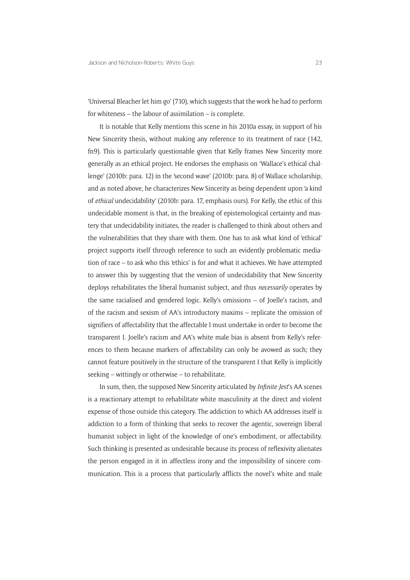'Universal Bleacher let him go' (710), which suggests that the work he had to perform for whiteness – the labour of assimilation – is complete.

It is notable that Kelly mentions this scene in his 2010a essay, in support of his New Sincerity thesis, without making any reference to its treatment of race (142, fn9). This is particularly questionable given that Kelly frames New Sincerity more generally as an ethical project. He endorses the emphasis on 'Wallace's ethical challenge' (2010b: para. 12) in the 'second wave' (2010b: para. 8) of Wallace scholarship, and as noted above, he characterizes New Sincerity as being dependent upon 'a kind of *ethical* undecidability' (2010b: para. 17, emphasis ours). For Kelly, the ethic of this undecidable moment is that, in the breaking of epistemological certainty and mastery that undecidability initiates, the reader is challenged to think about others and the vulnerabilities that they share with them. One has to ask what kind of 'ethical' project supports itself through reference to such an evidently problematic mediation of race – to ask who this 'ethics' is for and what it achieves. We have attempted to answer this by suggesting that the version of undecidability that New Sincerity deploys rehabilitates the liberal humanist subject, and thus *necessarily* operates by the same racialised and gendered logic. Kelly's omissions – of Joelle's racism, and of the racism and sexism of AA's introductory maxims – replicate the omission of signifiers of affectability that the affectable I must undertake in order to become the transparent I. Joelle's racism and AA's white male bias is absent from Kelly's references to them because markers of affectability can only be avowed as such; they cannot feature positively in the structure of the transparent I that Kelly is implicitly seeking – wittingly or otherwise – to rehabilitate.

In sum, then, the supposed New Sincerity articulated by *Infinite Jest*'s AA scenes is a reactionary attempt to rehabilitate white masculinity at the direct and violent expense of those outside this category. The addiction to which AA addresses itself is addiction to a form of thinking that seeks to recover the agentic, sovereign liberal humanist subject in light of the knowledge of one's embodiment, or affectability. Such thinking is presented as undesirable because its process of reflexivity alienates the person engaged in it in affectless irony and the impossibility of sincere communication. This is a process that particularly afflicts the novel's white and male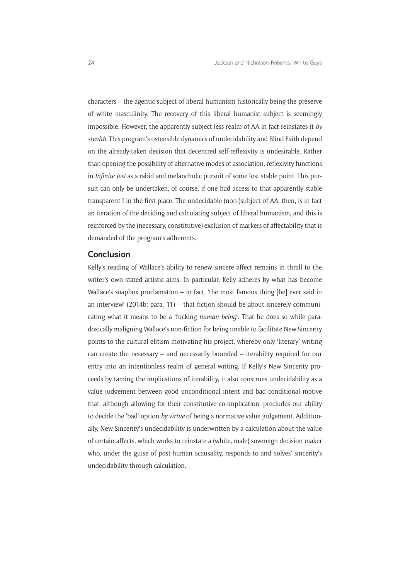characters – the agentic subject of liberal humanism historically being the preserve of white masculinity. The recovery of this liberal humanist subject is seemingly impossible. However, the apparently subject-less realm of AA in fact reinstates it *by stealth*. This program's ostensible dynamics of undecidability and Blind Faith depend on the already-taken decision that decentred self-reflexivity is undesirable. Rather than opening the possibility of alternative modes of association, reflexivity functions in *Infinite Jest* as a rabid and melancholic pursuit of some lost stable point. This pursuit can only be undertaken, of course, if one had access to that apparently stable transparent I in the first place. The undecidable (non-)subject of AA, then, is in fact an iteration of the deciding and calculating subject of liberal humanism, and this is reinforced by the (necessary, constitutive) exclusion of markers of affectability that is demanded of the program's adherents.

#### **Conclusion**

Kelly's reading of Wallace's ability to renew sincere affect remains in thrall to the writer's own stated artistic aims. In particular, Kelly adheres by what has become Wallace's soapbox proclamation – in fact, 'the most famous thing [he] ever said in an interview' (2014b: para. 11) – that fiction should be about sincerely communicating what it means to be a 'fucking *human being*'. That he does so while paradoxically maligning Wallace's non-fiction for being unable to facilitate New Sincerity points to the cultural elitism motivating his project, whereby only 'literary' writing can create the necessary – and necessarily bounded – iterability required for our entry into an intentionless realm of general writing. If Kelly's New Sincerity proceeds by taming the implications of iterability, it also construes undecidability as a value judgement between good unconditional intent and bad conditional motive that, although allowing for their constitutive co-implication, precludes our ability to decide the 'bad' option *by virtue* of being a normative value judgement. Additionally, New Sincerity's undecidability is underwritten by a calculation about the value of certain affects, which works to reinstate a (white, male) sovereign decision maker who, under the guise of post-human acausality, responds to and 'solves' sincerity's undecidability through calculation.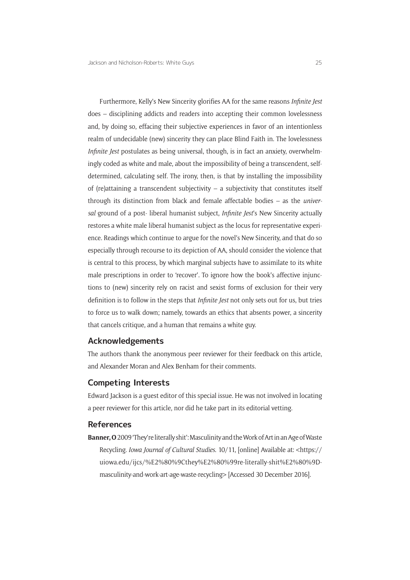Furthermore, Kelly's New Sincerity glorifies AA for the same reasons *Infinite Jest*  does – disciplining addicts and readers into accepting their common lovelessness and, by doing so, effacing their subjective experiences in favor of an intentionless realm of undecidable (new) sincerity they can place Blind Faith in. The lovelessness *Infinite Jest* postulates as being universal, though, is in fact an anxiety, overwhelmingly coded as white and male, about the impossibility of being a transcendent, selfdetermined, calculating self. The irony, then, is that by installing the impossibility of (re)attaining a transcendent subjectivity – a subjectivity that constitutes itself through its distinction from black and female affectable bodies – as the *universal* ground of a post- liberal humanist subject, *Infinite Jest*'s New Sincerity actually restores a white male liberal humanist subject as the locus for representative experience. Readings which continue to argue for the novel's New Sincerity, and that do so especially through recourse to its depiction of AA, should consider the violence that is central to this process, by which marginal subjects have to assimilate to its white male prescriptions in order to 'recover'. To ignore how the book's affective injunctions to (new) sincerity rely on racist and sexist forms of exclusion for their very definition is to follow in the steps that *Infinite Jest* not only sets out for us, but tries to force us to walk down; namely, towards an ethics that absents power, a sincerity that cancels critique, and a human that remains a white guy.

#### **Acknowledgements**

The authors thank the anonymous peer reviewer for their feedback on this article, and Alexander Moran and Alex Benham for their comments.

#### **Competing Interests**

Edward Jackson is a guest editor of this special issue. He was not involved in locating a peer reviewer for this article, nor did he take part in its editorial vetting.

#### **References**

**Banner, O** 2009 'They're literally shit': Masculinity and the Work of Art in an Age of Waste Recycling. *Iowa Journal of Cultural Studies*. 10/11, [online] Available at: <[https://](https://uiowa.edu/ijcs/%E2%80%9Cthey%E2%80%99re-literally-shit%E2%80%9D-masculinity-and-work-art-age-waste-recycling) [uiowa.edu/ijcs/%E2%80%9Cthey%E2%80%99re-literally-shit%E2%80%9D](https://uiowa.edu/ijcs/%E2%80%9Cthey%E2%80%99re-literally-shit%E2%80%9D-masculinity-and-work-art-age-waste-recycling)[masculinity-and-work-art-age-waste-recycling](https://uiowa.edu/ijcs/%E2%80%9Cthey%E2%80%99re-literally-shit%E2%80%9D-masculinity-and-work-art-age-waste-recycling)> [Accessed 30 December 2016].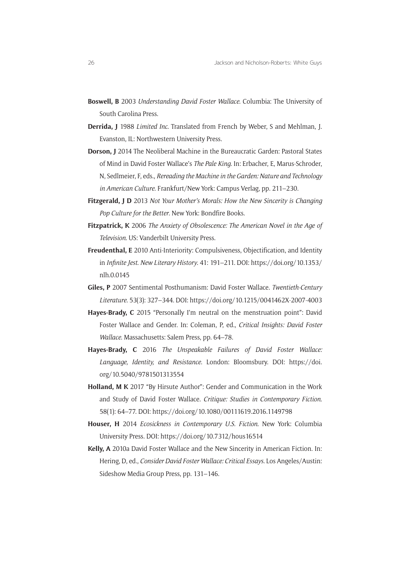- **Boswell, B** 2003 *Understanding David Foster Wallace*. Columbia: The University of South Carolina Press.
- **Derrida, J** 1988 *Limited Inc*. Translated from French by Weber, S and Mehlman, J. Evanston, IL: Northwestern University Press.
- **Dorson, J** 2014 The Neoliberal Machine in the Bureaucratic Garden: Pastoral States of Mind in David Foster Wallace's *The Pale King*. In: Erbacher, E, Marus-Schroder, N, Sedlmeier, F, eds., *Rereading the Machine in the Garden: Nature and Technology in American Culture*. Frankfurt/New York: Campus Verlag, pp. 211–230.
- **Fitzgerald, J D** 2013 *Not Your Mother's Morals: How the New Sincerity is Changing Pop Culture for the Better*. New York: Bondfire Books.
- **Fitzpatrick, K** 2006 *The Anxiety of Obsolescence: The American Novel in the Age of Television*. US: Vanderbilt University Press.
- **Freudenthal, E** 2010 Anti-Interiority: Compulsiveness, Objectification, and Identity in *Infinite Jest*. *New Literary History*. 41: 191–211. DOI: [https://doi.org/10.1353/](https://doi.org/10.1353/nlh.0.0145) [nlh.0.0145](https://doi.org/10.1353/nlh.0.0145)
- **Giles, P** 2007 Sentimental Posthumanism: David Foster Wallace. *Twentieth-Century Literature*. 53(3): 327–344. DOI: <https://doi.org/10.1215/0041462X-2007-4003>
- **Hayes-Brady, C** 2015 "Personally I'm neutral on the menstruation point": David Foster Wallace and Gender. In: Coleman, P, ed., *Critical Insights: David Foster Wallace*. Massachusetts: Salem Press, pp. 64–78.
- **Hayes-Brady, C** 2016 *The Unspeakable Failures of David Foster Wallace: Language, Identity, and Resistance*. London: Bloomsbury. DOI: [https://doi.](https://doi.org/10.5040/9781501313554) [org/10.5040/9781501313554](https://doi.org/10.5040/9781501313554)
- **Holland, M K** 2017 "By Hirsute Author": Gender and Communication in the Work and Study of David Foster Wallace. *Critique: Studies in Contemporary Fiction*. 58(1): 64–77. DOI:<https://doi.org/10.1080/00111619.2016.1149798>
- **Houser, H** 2014 *Ecosickness in Contemporary U.S. Fiction*. New York: Columbia University Press. DOI:<https://doi.org/10.7312/hous16514>
- **Kelly, A** 2010a David Foster Wallace and the New Sincerity in American Fiction. In: Hering, D, ed., *Consider David Foster Wallace: Critical Essays*. Los Angeles/Austin: Sideshow Media Group Press, pp. 131–146.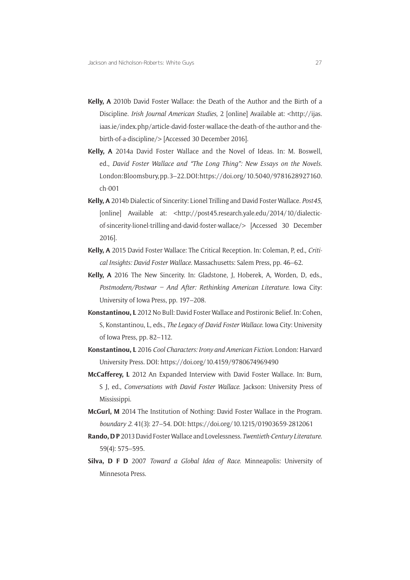- **Kelly, A** 2010b David Foster Wallace: the Death of the Author and the Birth of a Discipline. *Irish Journal American Studies*, 2 [online] Available at: [<http://ijas.](http://ijas.iaas.ie/index.php/article-david-foster-wallace-the-death-of-the-author-and-the-birth-of-a-discipline/) [iaas.ie/index.php/article-david-foster-wallace-the-death-of-the-author-and-the](http://ijas.iaas.ie/index.php/article-david-foster-wallace-the-death-of-the-author-and-the-birth-of-a-discipline/)[birth-of-a-discipline/](http://ijas.iaas.ie/index.php/article-david-foster-wallace-the-death-of-the-author-and-the-birth-of-a-discipline/)> [Accessed 30 December 2016].
- **Kelly, A** 2014a David Foster Wallace and the Novel of Ideas. In: M. Boswell, ed., *David Foster Wallace and "The Long Thing": New Essays on the Novels*. London: Bloomsbury, pp. 3–22. DOI: [https://doi.org/10.5040/9781628927160.](https://doi.org/10.5040/9781628927160.ch-001) [ch-001](https://doi.org/10.5040/9781628927160.ch-001)
- **Kelly, A** 2014b Dialectic of Sincerity: Lionel Trilling and David Foster Wallace. *Post45*, [online] Available at: <[http://post45.research.yale.edu/2014/10/dialectic](http://post45.research.yale.edu/2014/10/dialectic-of-sincerity-lionel-trilling-and-david-foster-wallace/)[of-sincerity-lionel-trilling-and-david-foster-wallace/](http://post45.research.yale.edu/2014/10/dialectic-of-sincerity-lionel-trilling-and-david-foster-wallace/)> [Accessed 30 December 2016].
- **Kelly, A** 2015 David Foster Wallace: The Critical Reception. In: Coleman, P, ed., *Critical Insights: David Foster Wallace*. Massachusetts: Salem Press, pp. 46–62.
- **Kelly, A** 2016 The New Sincerity. In: Gladstone, J, Hoberek, A, Worden, D, eds., *Postmodern/Postwar – And After: Rethinking American Literature*. Iowa City: University of Iowa Press, pp. 197–208.
- **Konstantinou, L** 2012 No Bull: David Foster Wallace and Postironic Belief. In: Cohen, S, Konstantinou, L, eds., *The Legacy of David Foster Wallace*. Iowa City: University of Iowa Press, pp. 82–112.
- **Konstantinou, L** 2016 *Cool Characters: Irony and American Fiction*. London: Harvard University Press. DOI:<https://doi.org/10.4159/9780674969490>
- **McCafferey, L** 2012 An Expanded Interview with David Foster Wallace. In: Burn, S J, ed., *Conversations with David Foster Wallace*. Jackson: University Press of Mississippi.
- **McGurl, M** 2014 The Institution of Nothing: David Foster Wallace in the Program. *boundary 2*. 41(3): 27–54. DOI:<https://doi.org/10.1215/01903659-2812061>
- **Rando, D P** 2013 David Foster Wallace and Lovelessness. *Twentieth-Century Literature*. 59(4): 575–595.
- **Silva, D F D** 2007 *Toward a Global Idea of Race*. Minneapolis: University of Minnesota Press.